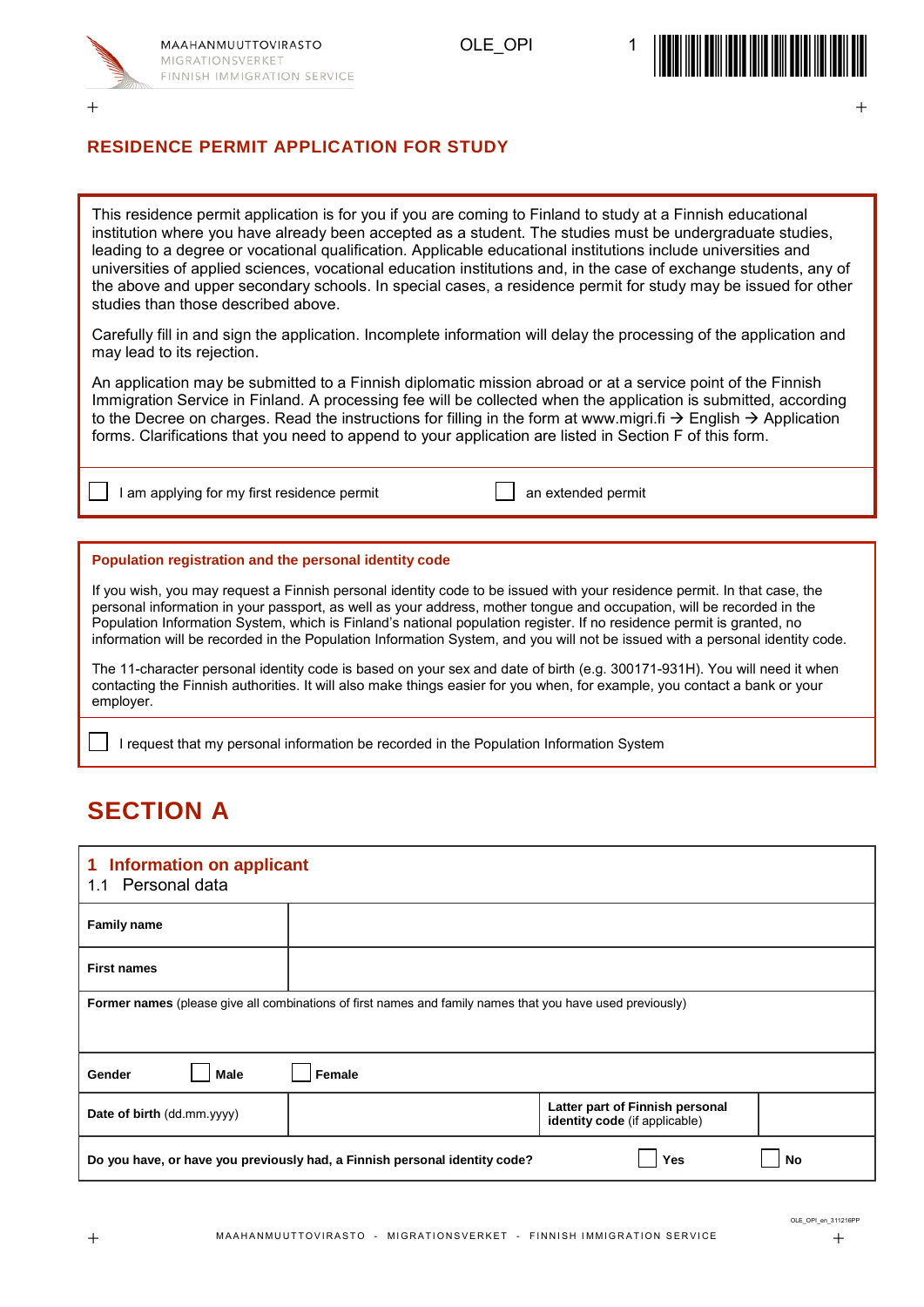

 $+$  +  $+$  +  $+$  +  $+$  +  $+$  +  $+$  +  $+$  +  $+$  +  $+$  +  $+$  +  $+$  +  $+$  +  $+$  +  $+$  +  $+$  +  $+$  +  $+$  +  $+$  +  $+$  +  $+$  +  $+$  +  $+$  +  $+$  +  $+$  +  $+$  +  $+$  +  $+$  +  $+$  +  $+$  +  $+$  +  $+$  +  $+$  +  $+$  +  $+$  +  $+$  +  $+$  +  $+$  +





#### **RESIDENCE PERMIT APPLICATION FOR STUDY**

This residence permit application is for you if you are coming to Finland to study at a Finnish educational institution where you have already been accepted as a student. The studies must be undergraduate studies, leading to a degree or vocational qualification. Applicable educational institutions include universities and universities of applied sciences, vocational education institutions and, in the case of exchange students, any of the above and upper secondary schools. In special cases, a residence permit for study may be issued for other studies than those described above.

Carefully fill in and sign the application. Incomplete information will delay the processing of the application and may lead to its rejection.

An application may be submitted to a Finnish diplomatic mission abroad or at a service point of the Finnish Immigration Service in Finland. A processing fee will be collected when the application is submitted, according to the Decree on charges. Read the instructions for filling in the form at www.migri.fi  $\rightarrow$  English  $\rightarrow$  Application forms. Clarifications that you need to append to your application are listed in Section F of this form.

I am applying for my first residence permit and an extended permit

#### **Population registration and the personal identity code**

If you wish, you may request a Finnish personal identity code to be issued with your residence permit. In that case, the personal information in your passport, as well as your address, mother tongue and occupation, will be recorded in the Population Information System, which is Finland's national population register. If no residence permit is granted, no information will be recorded in the Population Information System, and you will not be issued with a personal identity code.

The 11-character personal identity code is based on your sex and date of birth (e.g. 300171-931H). You will need it when contacting the Finnish authorities. It will also make things easier for you when, for example, you contact a bank or your employer.

I request that my personal information be recorded in the Population Information System

### **SECTION A**

| <b>Information on applicant</b><br>1<br>1.1 Personal data                                                        |        |                                                                  |    |  |
|------------------------------------------------------------------------------------------------------------------|--------|------------------------------------------------------------------|----|--|
| <b>Family name</b>                                                                                               |        |                                                                  |    |  |
| <b>First names</b>                                                                                               |        |                                                                  |    |  |
| <b>Former names</b> (please give all combinations of first names and family names that you have used previously) |        |                                                                  |    |  |
|                                                                                                                  |        |                                                                  |    |  |
| <b>Male</b><br>Gender                                                                                            | Female |                                                                  |    |  |
| Date of birth (dd.mm.yyyy)                                                                                       |        | Latter part of Finnish personal<br>identity code (if applicable) |    |  |
| Do you have, or have you previously had, a Finnish personal identity code?                                       |        | Yes                                                              | No |  |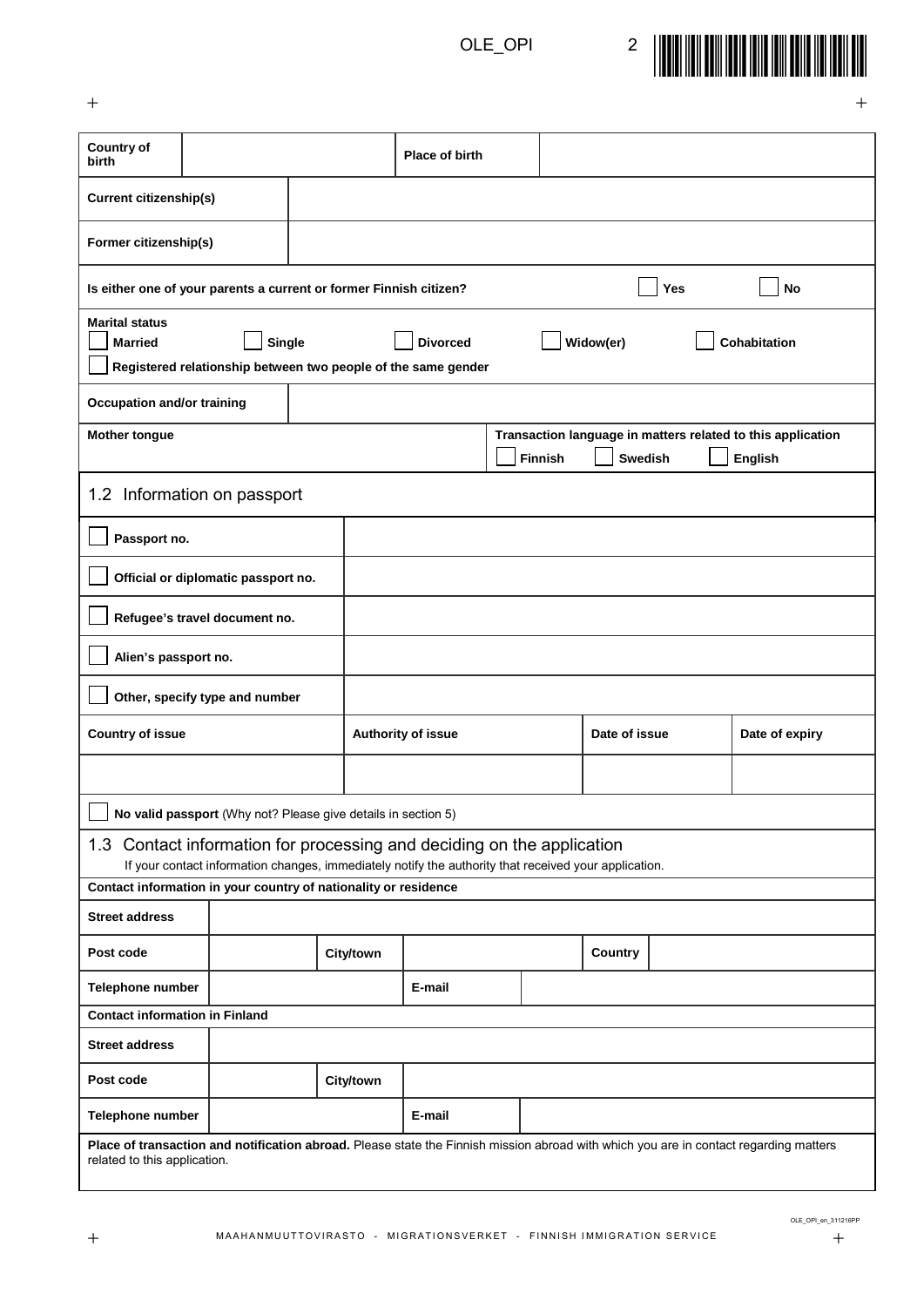

 $+$  +  $+$  +  $+$  +  $+$  +  $+$  +  $+$  +  $+$  +  $+$  +  $+$  +  $+$  +  $+$  +  $+$  +  $+$  +  $+$  +  $+$  +  $+$  +  $+$  +  $+$  +  $+$  +  $+$  +  $+$  +  $+$  +  $+$  +  $+$  +  $+$  +  $+$  +  $+$  +  $+$  +  $+$  +  $+$  +  $+$  +  $+$  +  $+$  +  $+$  +  $+$  +  $+$  +  $+$  +

| <b>Country of</b><br>birth                                                                                                                                            |                                                               |           | Place of birth                                                                                        |                |         |                |     |                                                                               |
|-----------------------------------------------------------------------------------------------------------------------------------------------------------------------|---------------------------------------------------------------|-----------|-------------------------------------------------------------------------------------------------------|----------------|---------|----------------|-----|-------------------------------------------------------------------------------|
| <b>Current citizenship(s)</b>                                                                                                                                         |                                                               |           |                                                                                                       |                |         |                |     |                                                                               |
| Former citizenship(s)                                                                                                                                                 |                                                               |           |                                                                                                       |                |         |                |     |                                                                               |
| Is either one of your parents a current or former Finnish citizen?                                                                                                    |                                                               |           |                                                                                                       |                |         |                | Yes | <b>No</b>                                                                     |
| <b>Marital status</b><br><b>Single</b><br><b>Married</b>                                                                                                              |                                                               |           | <b>Divorced</b><br>Registered relationship between two people of the same gender                      |                |         | Widow(er)      |     | Cohabitation                                                                  |
|                                                                                                                                                                       |                                                               |           |                                                                                                       |                |         |                |     |                                                                               |
| <b>Occupation and/or training</b>                                                                                                                                     |                                                               |           |                                                                                                       |                |         |                |     |                                                                               |
| <b>Mother tongue</b>                                                                                                                                                  |                                                               |           |                                                                                                       |                | Finnish | <b>Swedish</b> |     | Transaction language in matters related to this application<br><b>English</b> |
| 1.2 Information on passport                                                                                                                                           |                                                               |           |                                                                                                       |                |         |                |     |                                                                               |
| Passport no.                                                                                                                                                          |                                                               |           |                                                                                                       |                |         |                |     |                                                                               |
|                                                                                                                                                                       | Official or diplomatic passport no.                           |           |                                                                                                       |                |         |                |     |                                                                               |
|                                                                                                                                                                       | Refugee's travel document no.                                 |           |                                                                                                       |                |         |                |     |                                                                               |
| Alien's passport no.                                                                                                                                                  |                                                               |           |                                                                                                       |                |         |                |     |                                                                               |
|                                                                                                                                                                       | Other, specify type and number                                |           |                                                                                                       |                |         |                |     |                                                                               |
| <b>Country of issue</b><br>Date of issue<br>Authority of issue                                                                                                        |                                                               |           |                                                                                                       | Date of expiry |         |                |     |                                                                               |
|                                                                                                                                                                       |                                                               |           |                                                                                                       |                |         |                |     |                                                                               |
|                                                                                                                                                                       | No valid passport (Why not? Please give details in section 5) |           |                                                                                                       |                |         |                |     |                                                                               |
| 1.3 Contact information for processing and deciding on the application                                                                                                |                                                               |           |                                                                                                       |                |         |                |     |                                                                               |
|                                                                                                                                                                       |                                                               |           | If your contact information changes, immediately notify the authority that received your application. |                |         |                |     |                                                                               |
| Contact information in your country of nationality or residence                                                                                                       |                                                               |           |                                                                                                       |                |         |                |     |                                                                               |
| <b>Street address</b>                                                                                                                                                 |                                                               |           |                                                                                                       |                |         |                |     |                                                                               |
| Post code                                                                                                                                                             |                                                               | City/town |                                                                                                       |                |         | Country        |     |                                                                               |
| Telephone number                                                                                                                                                      |                                                               |           | E-mail                                                                                                |                |         |                |     |                                                                               |
| <b>Contact information in Finland</b>                                                                                                                                 |                                                               |           |                                                                                                       |                |         |                |     |                                                                               |
| <b>Street address</b>                                                                                                                                                 |                                                               |           |                                                                                                       |                |         |                |     |                                                                               |
| Post code                                                                                                                                                             |                                                               | City/town |                                                                                                       |                |         |                |     |                                                                               |
| Telephone number                                                                                                                                                      |                                                               |           | E-mail                                                                                                |                |         |                |     |                                                                               |
| Place of transaction and notification abroad. Please state the Finnish mission abroad with which you are in contact regarding matters<br>related to this application. |                                                               |           |                                                                                                       |                |         |                |     |                                                                               |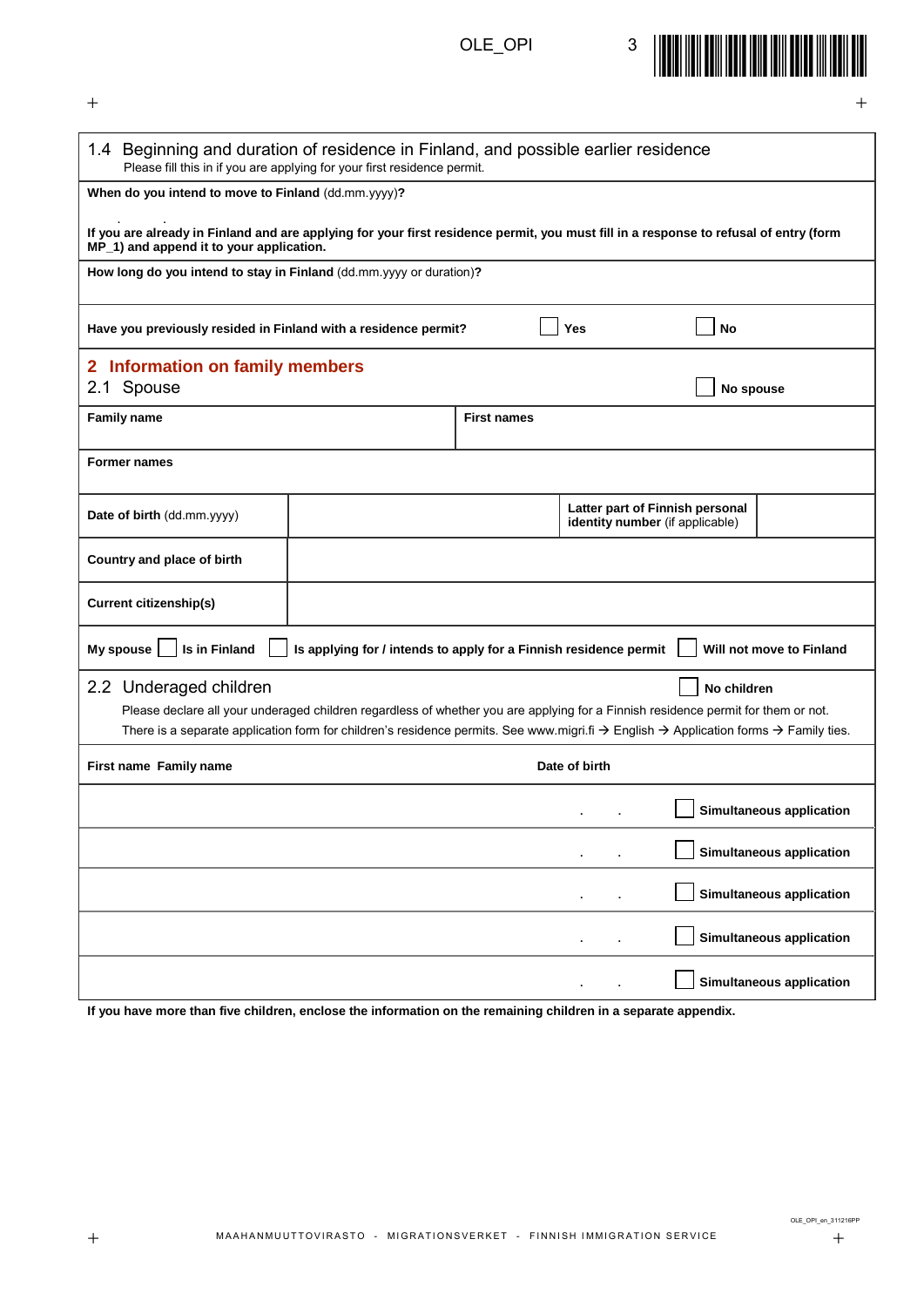

 $+$  +  $+$  +  $+$  +  $+$  +  $+$  +  $+$  +  $+$  +  $+$  +  $+$  +  $+$  +  $+$  +  $+$  +  $+$  +  $+$  +  $+$  +  $+$  +  $+$  +  $+$  +  $+$  +  $+$  +  $+$  +  $+$  +  $+$  +  $+$  +  $+$  +  $+$  +  $+$  +  $+$  +  $+$  +  $+$  +  $+$  +  $+$  +  $+$  +  $+$  +  $+$  +  $+$  +  $+$  +

| 1.4 Beginning and duration of residence in Finland, and possible earlier residence<br>Please fill this in if you are applying for your first residence permit.                    |                                                                                                                                                                          |                    |               |                                 |                                 |
|-----------------------------------------------------------------------------------------------------------------------------------------------------------------------------------|--------------------------------------------------------------------------------------------------------------------------------------------------------------------------|--------------------|---------------|---------------------------------|---------------------------------|
| When do you intend to move to Finland (dd.mm.yyyy)?                                                                                                                               |                                                                                                                                                                          |                    |               |                                 |                                 |
| If you are already in Finland and are applying for your first residence permit, you must fill in a response to refusal of entry (form<br>MP_1) and append it to your application. |                                                                                                                                                                          |                    |               |                                 |                                 |
| How long do you intend to stay in Finland (dd.mm.yyyy or duration)?                                                                                                               |                                                                                                                                                                          |                    |               |                                 |                                 |
|                                                                                                                                                                                   |                                                                                                                                                                          |                    |               |                                 |                                 |
| <b>No</b><br>Have you previously resided in Finland with a residence permit?<br>Yes                                                                                               |                                                                                                                                                                          |                    |               |                                 |                                 |
| 2 Information on family members                                                                                                                                                   |                                                                                                                                                                          |                    |               |                                 |                                 |
| 2.1 Spouse                                                                                                                                                                        |                                                                                                                                                                          |                    |               | No spouse                       |                                 |
| <b>Family name</b>                                                                                                                                                                |                                                                                                                                                                          | <b>First names</b> |               |                                 |                                 |
|                                                                                                                                                                                   |                                                                                                                                                                          |                    |               |                                 |                                 |
| <b>Former names</b>                                                                                                                                                               |                                                                                                                                                                          |                    |               |                                 |                                 |
|                                                                                                                                                                                   |                                                                                                                                                                          |                    |               |                                 |                                 |
|                                                                                                                                                                                   |                                                                                                                                                                          |                    |               | Latter part of Finnish personal |                                 |
| Date of birth (dd.mm.yyyy)                                                                                                                                                        |                                                                                                                                                                          |                    |               | identity number (if applicable) |                                 |
|                                                                                                                                                                                   |                                                                                                                                                                          |                    |               |                                 |                                 |
| Country and place of birth                                                                                                                                                        |                                                                                                                                                                          |                    |               |                                 |                                 |
| <b>Current citizenship(s)</b>                                                                                                                                                     |                                                                                                                                                                          |                    |               |                                 |                                 |
| My spouse<br>Is in Finland                                                                                                                                                        | Is applying for / intends to apply for a Finnish residence permit                                                                                                        |                    |               |                                 | Will not move to Finland        |
| 2.2 Underaged children                                                                                                                                                            |                                                                                                                                                                          |                    |               | No children                     |                                 |
|                                                                                                                                                                                   | Please declare all your underaged children regardless of whether you are applying for a Finnish residence permit for them or not.                                        |                    |               |                                 |                                 |
|                                                                                                                                                                                   | There is a separate application form for children's residence permits. See www.migri.fi $\rightarrow$ English $\rightarrow$ Application forms $\rightarrow$ Family ties. |                    |               |                                 |                                 |
| First name Family name                                                                                                                                                            |                                                                                                                                                                          |                    | Date of birth |                                 |                                 |
|                                                                                                                                                                                   |                                                                                                                                                                          |                    |               |                                 | Simultaneous application        |
|                                                                                                                                                                                   |                                                                                                                                                                          |                    |               |                                 | Simultaneous application        |
|                                                                                                                                                                                   |                                                                                                                                                                          |                    | ٠             |                                 | <b>Simultaneous application</b> |
|                                                                                                                                                                                   |                                                                                                                                                                          |                    |               |                                 | Simultaneous application        |
|                                                                                                                                                                                   |                                                                                                                                                                          |                    |               |                                 | <b>Simultaneous application</b> |

**If you have more than five children, enclose the information on the remaining children in a separate appendix.**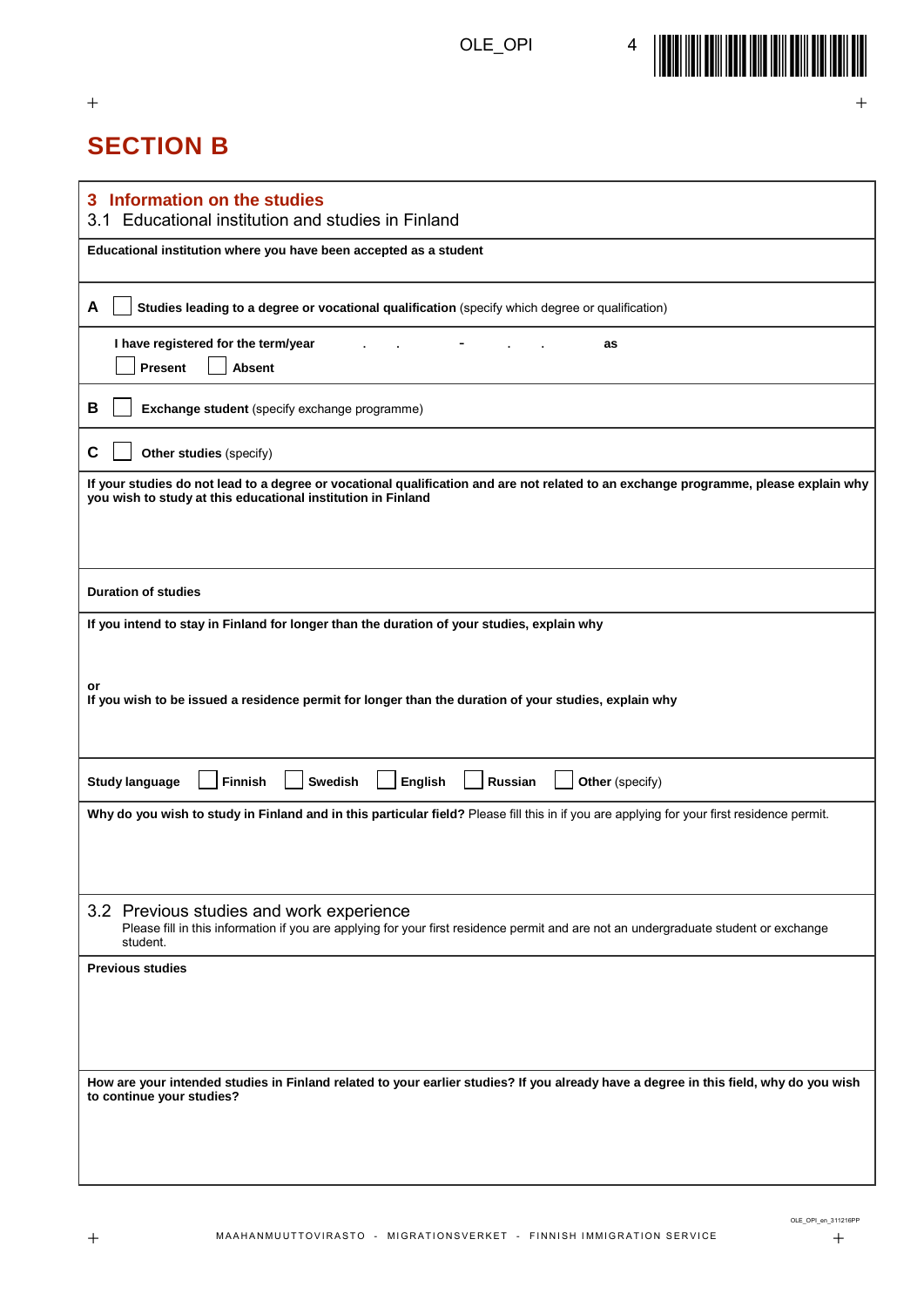$+$  +  $+$  +  $+$  +  $+$  +  $+$  +  $+$  +  $+$  +  $+$  +  $+$  +  $+$  +  $+$  +  $+$  +  $+$  +  $+$  +  $+$  +  $+$  +  $+$  +  $+$  +  $+$  +  $+$  +  $+$  +  $+$  +  $+$  +  $+$  +  $+$  +  $+$  +  $+$  +  $+$  +  $+$  +  $+$  +  $+$  +  $+$  +  $+$  +  $+$  +  $+$  +  $+$  +  $+$  +



# **SECTION B**

| Information on the studies<br>3<br>Educational institution and studies in Finland<br>3.1                                                                                                             |
|------------------------------------------------------------------------------------------------------------------------------------------------------------------------------------------------------|
| Educational institution where you have been accepted as a student                                                                                                                                    |
| A<br>Studies leading to a degree or vocational qualification (specify which degree or qualification)                                                                                                 |
| I have registered for the term/year<br>as<br>Present<br><b>Absent</b>                                                                                                                                |
| В<br>Exchange student (specify exchange programme)                                                                                                                                                   |
| C<br>Other studies (specify)                                                                                                                                                                         |
| If your studies do not lead to a degree or vocational qualification and are not related to an exchange programme, please explain why<br>you wish to study at this educational institution in Finland |
| <b>Duration of studies</b>                                                                                                                                                                           |
| If you intend to stay in Finland for longer than the duration of your studies, explain why<br>or                                                                                                     |
| If you wish to be issued a residence permit for longer than the duration of your studies, explain why                                                                                                |
| <b>Swedish</b><br>English<br><b>Russian</b><br><b>Study language</b><br><b>Finnish</b><br>Other (specify)                                                                                            |
| Why do you wish to study in Finland and in this particular field? Please fill this in if you are applying for your first residence permit.                                                           |
| 3.2 Previous studies and work experience<br>Please fill in this information if you are applying for your first residence permit and are not an undergraduate student or exchange<br>student.         |
| <b>Previous studies</b>                                                                                                                                                                              |
| How are your intended studies in Finland related to your earlier studies? If you already have a degree in this field, why do you wish<br>to continue your studies?                                   |

OLE\_OPI\_en\_311216PP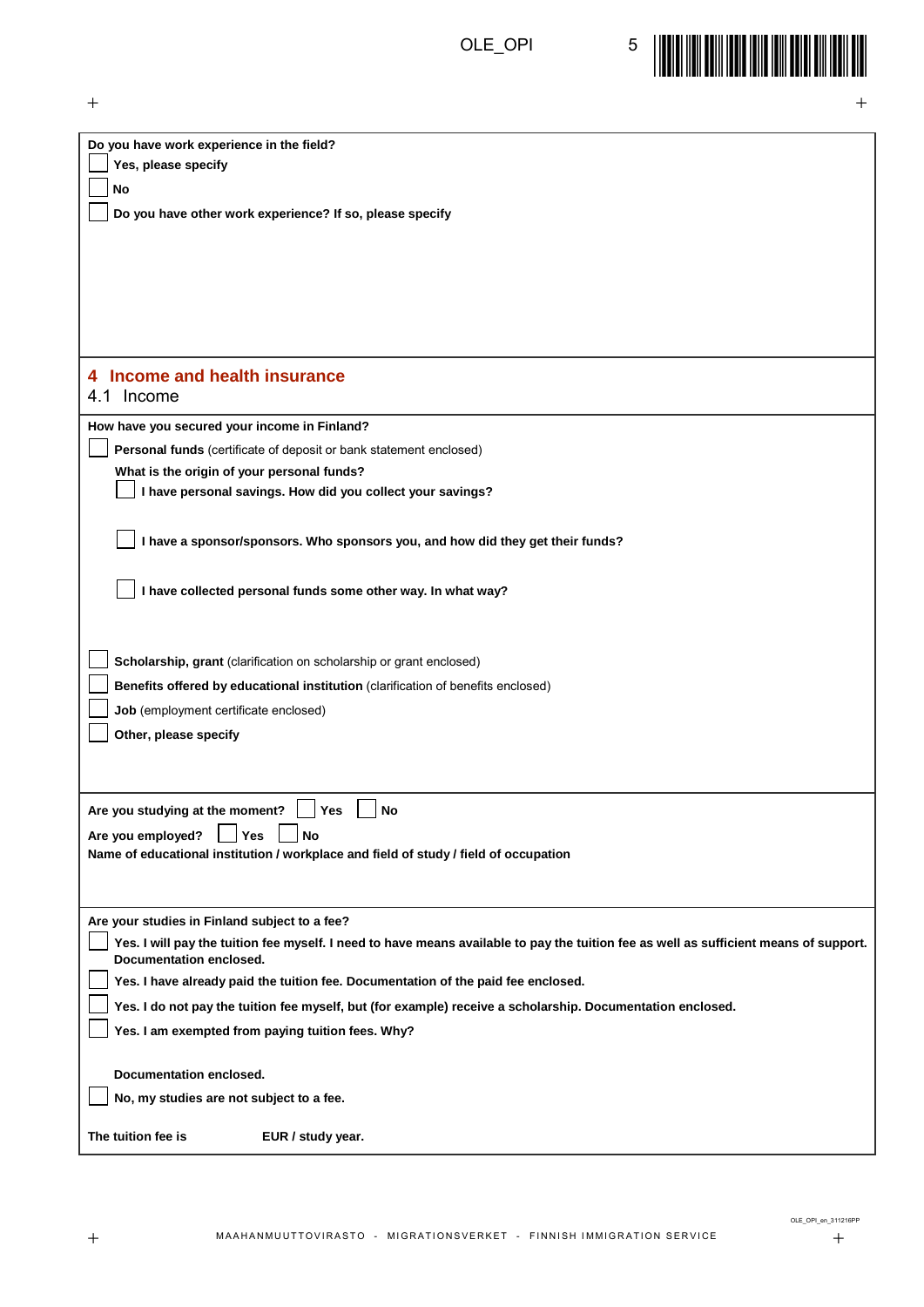

| $\pm$                                                                                                                                 | $^+$ |
|---------------------------------------------------------------------------------------------------------------------------------------|------|
| Do you have work experience in the field?                                                                                             |      |
| Yes, please specify                                                                                                                   |      |
| No                                                                                                                                    |      |
| Do you have other work experience? If so, please specify                                                                              |      |
|                                                                                                                                       |      |
|                                                                                                                                       |      |
|                                                                                                                                       |      |
|                                                                                                                                       |      |
|                                                                                                                                       |      |
|                                                                                                                                       |      |
| 4 Income and health insurance                                                                                                         |      |
| Income<br>4.1                                                                                                                         |      |
| How have you secured your income in Finland?                                                                                          |      |
| Personal funds (certificate of deposit or bank statement enclosed)                                                                    |      |
| What is the origin of your personal funds?                                                                                            |      |
| I have personal savings. How did you collect your savings?                                                                            |      |
|                                                                                                                                       |      |
| I have a sponsor/sponsors. Who sponsors you, and how did they get their funds?                                                        |      |
|                                                                                                                                       |      |
| I have collected personal funds some other way. In what way?                                                                          |      |
|                                                                                                                                       |      |
|                                                                                                                                       |      |
| Scholarship, grant (clarification on scholarship or grant enclosed)                                                                   |      |
| Benefits offered by educational institution (clarification of benefits enclosed)                                                      |      |
|                                                                                                                                       |      |
| Job (employment certificate enclosed)                                                                                                 |      |
| Other, please specify                                                                                                                 |      |
|                                                                                                                                       |      |
|                                                                                                                                       |      |
| Are you studying at the moment?<br>Yes<br>No                                                                                          |      |
| Yes<br>Are you employed?<br>No                                                                                                        |      |
| Name of educational institution / workplace and field of study / field of occupation                                                  |      |
|                                                                                                                                       |      |
| Are your studies in Finland subject to a fee?                                                                                         |      |
| Yes. I will pay the tuition fee myself. I need to have means available to pay the tuition fee as well as sufficient means of support. |      |
| Documentation enclosed.                                                                                                               |      |
| Yes. I have already paid the tuition fee. Documentation of the paid fee enclosed.                                                     |      |
| Yes. I do not pay the tuition fee myself, but (for example) receive a scholarship. Documentation enclosed.                            |      |
| Yes. I am exempted from paying tuition fees. Why?                                                                                     |      |
|                                                                                                                                       |      |
| Documentation enclosed.                                                                                                               |      |
| No, my studies are not subject to a fee.                                                                                              |      |
|                                                                                                                                       |      |
| The tuition fee is<br>EUR / study year.                                                                                               |      |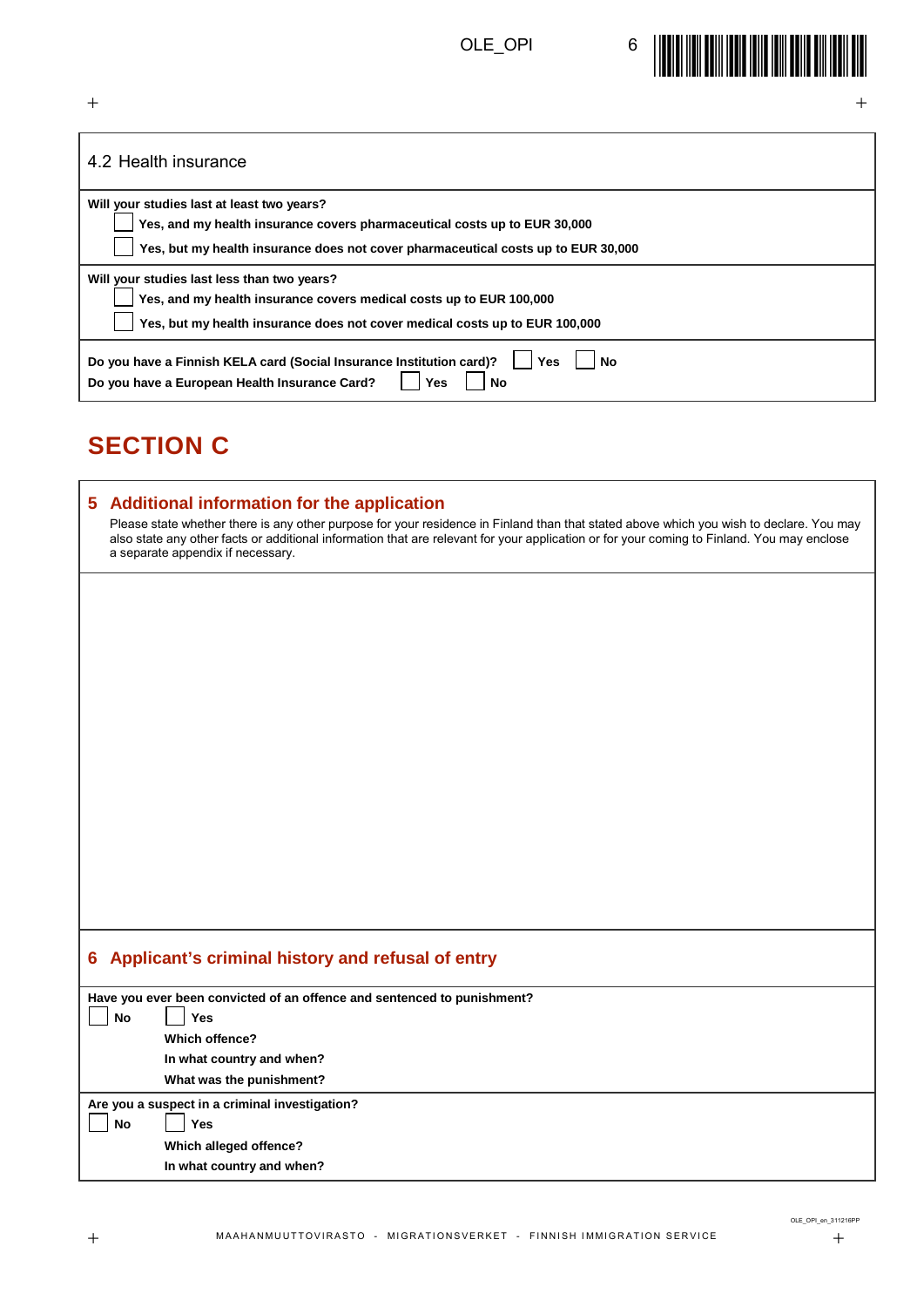

| ┿<br>$\pm$                                                                                                                                                                                                                                                                                                                 |
|----------------------------------------------------------------------------------------------------------------------------------------------------------------------------------------------------------------------------------------------------------------------------------------------------------------------------|
| 4.2 Health insurance                                                                                                                                                                                                                                                                                                       |
| Will your studies last at least two years?                                                                                                                                                                                                                                                                                 |
| Yes, and my health insurance covers pharmaceutical costs up to EUR 30,000<br>Yes, but my health insurance does not cover pharmaceutical costs up to EUR 30,000                                                                                                                                                             |
| Will your studies last less than two years?                                                                                                                                                                                                                                                                                |
| Yes, and my health insurance covers medical costs up to EUR 100,000                                                                                                                                                                                                                                                        |
| Yes, but my health insurance does not cover medical costs up to EUR 100,000                                                                                                                                                                                                                                                |
| Do you have a Finnish KELA card (Social Insurance Institution card)?<br>Yes<br>Nο<br>Do you have a European Health Insurance Card?<br><b>No</b><br>Yes                                                                                                                                                                     |
| <b>SECTION C</b>                                                                                                                                                                                                                                                                                                           |
| 5<br><b>Additional information for the application</b>                                                                                                                                                                                                                                                                     |
| Please state whether there is any other purpose for your residence in Finland than that stated above which you wish to declare. You may<br>also state any other facts or additional information that are relevant for your application or for your coming to Finland. You may enclose<br>a separate appendix if necessary. |
|                                                                                                                                                                                                                                                                                                                            |
|                                                                                                                                                                                                                                                                                                                            |
|                                                                                                                                                                                                                                                                                                                            |

### **6 Applicant's criminal history and refusal of entry**

|                                                | Have you ever been convicted of an offence and sentenced to punishment? |  |  |
|------------------------------------------------|-------------------------------------------------------------------------|--|--|
| No                                             | <b>Yes</b>                                                              |  |  |
|                                                | Which offence?                                                          |  |  |
|                                                | In what country and when?                                               |  |  |
|                                                | What was the punishment?                                                |  |  |
| Are you a suspect in a criminal investigation? |                                                                         |  |  |
| No                                             | Yes                                                                     |  |  |
|                                                | Which alleged offence?                                                  |  |  |
|                                                | In what country and when?                                               |  |  |
|                                                |                                                                         |  |  |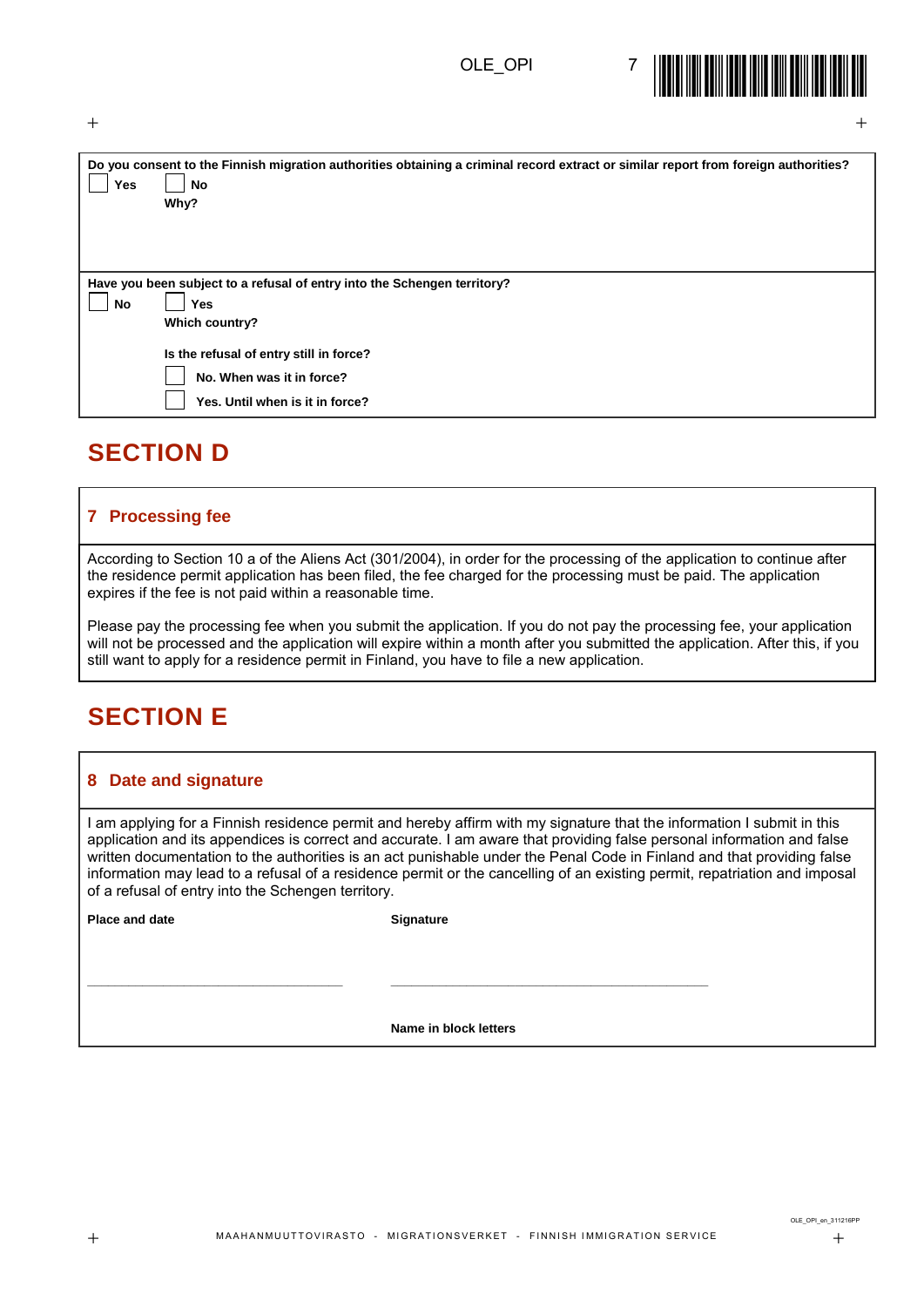

| Yes | Do you consent to the Finnish migration authorities obtaining a criminal record extract or similar report from foreign authorities?<br>No<br>Why? |
|-----|---------------------------------------------------------------------------------------------------------------------------------------------------|
|     | Have you been subject to a refusal of entry into the Schengen territory?                                                                          |
| No  | Yes                                                                                                                                               |
|     | Which country?                                                                                                                                    |
|     | Is the refusal of entry still in force?                                                                                                           |
|     | No. When was it in force?                                                                                                                         |
|     | Yes. Until when is it in force?                                                                                                                   |

 $+$  +  $+$  +  $+$  +  $+$  +  $+$  +  $+$  +  $+$  +  $+$  +  $+$  +  $+$  +  $+$  +  $+$  +  $+$  +  $+$  +  $+$  +  $+$  +  $+$  +  $+$  +  $+$  +  $+$  +  $+$  +  $+$  +  $+$  +  $+$  +  $+$  +  $+$  +  $+$  +  $+$  +  $+$  +  $+$  +  $+$  +  $+$  +  $+$  +  $+$  +  $+$  +  $+$  +  $+$  +

### **SECTION D**

#### **7 Processing fee**

According to Section 10 a of the Aliens Act (301/2004), in order for the processing of the application to continue after the residence permit application has been filed, the fee charged for the processing must be paid. The application expires if the fee is not paid within a reasonable time.

Please pay the processing fee when you submit the application. If you do not pay the processing fee, your application will not be processed and the application will expire within a month after you submitted the application. After this, if you still want to apply for a residence permit in Finland, you have to file a new application.

## **SECTION E**

#### **8 Date and signature**

I am applying for a Finnish residence permit and hereby affirm with my signature that the information I submit in this application and its appendices is correct and accurate. I am aware that providing false personal information and false written documentation to the authorities is an act punishable under the Penal Code in Finland and that providing false information may lead to a refusal of a residence permit or the cancelling of an existing permit, repatriation and imposal of a refusal of entry into the Schengen territory.

**Place and date** Signature

**\_\_\_\_\_\_\_\_\_\_\_\_\_\_\_\_\_\_\_\_\_\_\_\_\_\_\_\_\_\_\_\_\_\_\_\_\_ \_\_\_\_\_\_\_\_\_\_\_\_\_\_\_\_\_\_\_\_\_\_\_\_\_\_\_\_\_\_\_\_\_\_\_\_\_\_\_\_\_\_\_\_\_\_**

**Name in block letters**